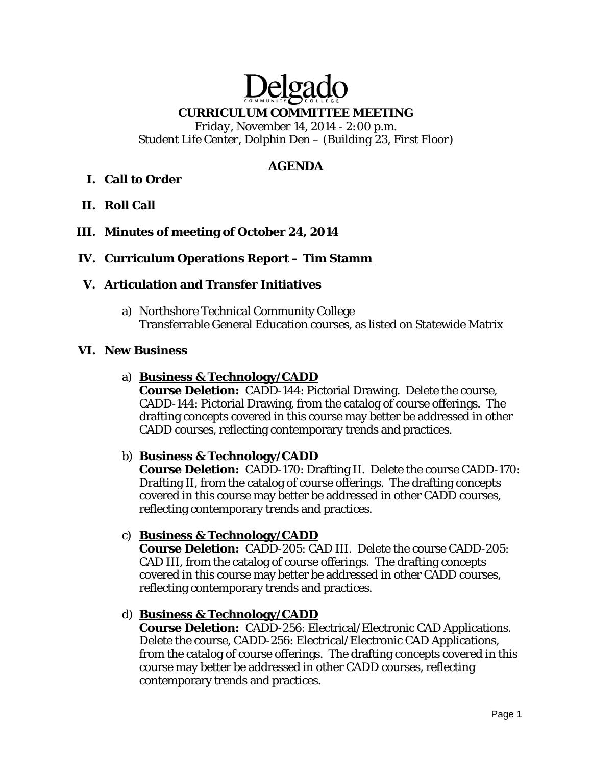# Delgado **CURRICULUM COMMITTEE MEETING**

*Friday, November 14, 2014 - 2:00 p.m. Student Life Center, Dolphin Den – (Building 23, First Floor)* 

## **AGENDA**

## **I. Call to Order**

**II. Roll Call** 

## **III. Minutes of meeting of October 24, 2014**

## **IV. Curriculum Operations Report – Tim Stamm**

## **V. Articulation and Transfer Initiatives**

a) Northshore Technical Community College Transferrable General Education courses, as listed on Statewide Matrix

## **VI. New Business**

## a) **Business & Technology/CADD**

**Course Deletion:** CADD-144: Pictorial Drawing. Delete the course, CADD-144: Pictorial Drawing, from the catalog of course offerings. The drafting concepts covered in this course may better be addressed in other CADD courses, reflecting contemporary trends and practices.

## b) **Business & Technology/CADD**

**Course Deletion:** CADD-170: Drafting II. Delete the course CADD-170: Drafting II, from the catalog of course offerings. The drafting concepts covered in this course may better be addressed in other CADD courses, reflecting contemporary trends and practices.

## c) **Business & Technology/CADD**

**Course Deletion:** CADD-205: CAD III. Delete the course CADD-205: CAD III, from the catalog of course offerings. The drafting concepts covered in this course may better be addressed in other CADD courses, reflecting contemporary trends and practices.

## d) **Business & Technology/CADD**

**Course Deletion:** CADD-256: Electrical/Electronic CAD Applications. Delete the course, CADD-256: Electrical/Electronic CAD Applications, from the catalog of course offerings. The drafting concepts covered in this course may better be addressed in other CADD courses, reflecting contemporary trends and practices.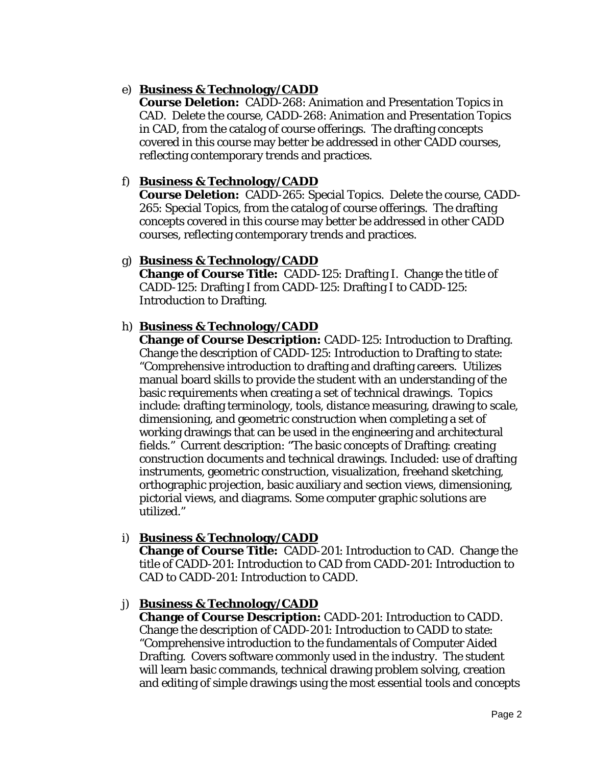## e) **Business & Technology/CADD**

**Course Deletion:** CADD-268: Animation and Presentation Topics in CAD. Delete the course, CADD-268: Animation and Presentation Topics in CAD, from the catalog of course offerings. The drafting concepts covered in this course may better be addressed in other CADD courses, reflecting contemporary trends and practices.

## f) **Business & Technology/CADD**

**Course Deletion:** CADD-265: Special Topics. Delete the course, CADD-265: Special Topics, from the catalog of course offerings. The drafting concepts covered in this course may better be addressed in other CADD courses, reflecting contemporary trends and practices.

#### g) **Business & Technology/CADD**

**Change of Course Title:** CADD-125: Drafting I. Change the title of CADD-125: Drafting I *from* CADD-125: Drafting I *to* CADD-125: Introduction to Drafting.

## h) **Business & Technology/CADD**

**Change of Course Description:** CADD-125: Introduction to Drafting. Change the description of CADD-125: Introduction to Drafting to state: "Comprehensive introduction to drafting and drafting careers. Utilizes manual board skills to provide the student with an understanding of the basic requirements when creating a set of technical drawings. Topics include: drafting terminology, tools, distance measuring, drawing to scale, dimensioning, and geometric construction when completing a set of working drawings that can be used in the engineering and architectural fields." Current description: "The basic concepts of Drafting: creating construction documents and technical drawings. Included: use of drafting instruments, geometric construction, visualization, freehand sketching, orthographic projection, basic auxiliary and section views, dimensioning, pictorial views, and diagrams. Some computer graphic solutions are utilized."

## i) **Business & Technology/CADD**

**Change of Course Title:** CADD-201: Introduction to CAD. Change the title of CADD-201: Introduction to CAD *from* CADD-201: Introduction to CAD *to* CADD-201: Introduction to CADD.

## j) **Business & Technology/CADD**

**Change of Course Description:** CADD-201: Introduction to CADD. Change the description of CADD-201: Introduction to CADD to state: "Comprehensive introduction to the fundamentals of Computer Aided Drafting. Covers software commonly used in the industry. The student will learn basic commands, technical drawing problem solving, creation and editing of simple drawings using the most essential tools and concepts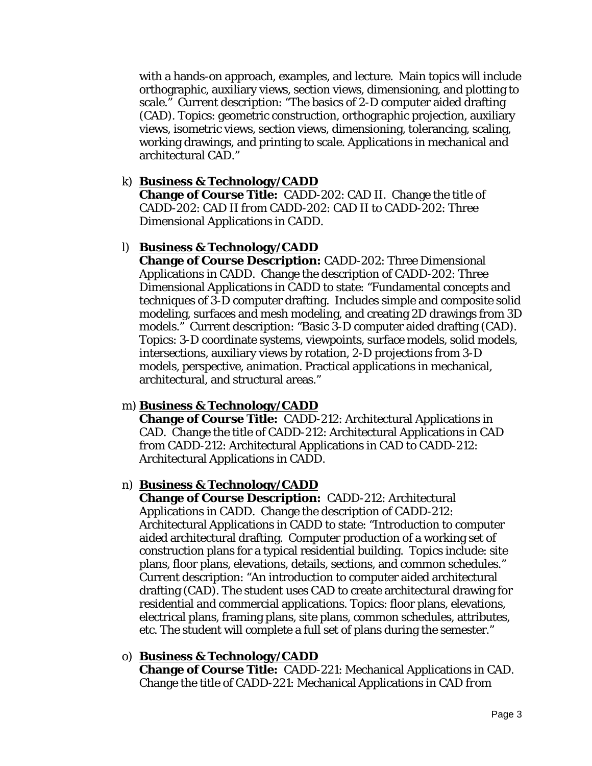with a hands-on approach, examples, and lecture. Main topics will include orthographic, auxiliary views, section views, dimensioning, and plotting to scale." Current description: "The basics of 2-D computer aided drafting (CAD). Topics: geometric construction, orthographic projection, auxiliary views, isometric views, section views, dimensioning, tolerancing, scaling, working drawings, and printing to scale. Applications in mechanical and architectural CAD."

## k) **Business & Technology/CADD**

**Change of Course Title:** CADD-202: CAD II. Change the title of CADD-202: CAD II *from* CADD-202: CAD II *to* CADD-202: Three Dimensional Applications in CADD.

## l) **Business & Technology/CADD**

**Change of Course Description:** CADD-202: Three Dimensional Applications in CADD. Change the description of CADD-202: Three Dimensional Applications in CADD to state: "Fundamental concepts and techniques of 3-D computer drafting. Includes simple and composite solid modeling, surfaces and mesh modeling, and creating 2D drawings from 3D models." Current description: "Basic 3-D computer aided drafting (CAD). Topics: 3-D coordinate systems, viewpoints, surface models, solid models, intersections, auxiliary views by rotation, 2-D projections from 3-D models, perspective, animation. Practical applications in mechanical, architectural, and structural areas."

## m) **Business & Technology/CADD**

**Change of Course Title:** CADD-212: Architectural Applications in CAD. Change the title of CADD-212: Architectural Applications in CAD *from* CADD-212: Architectural Applications in CAD *to* CADD-212: Architectural Applications in CADD.

## n) **Business & Technology/CADD**

**Change of Course Description:** CADD-212: Architectural Applications in CADD. Change the description of CADD-212: Architectural Applications in CADD to state: "Introduction to computer aided architectural drafting. Computer production of a working set of construction plans for a typical residential building. Topics include: site plans, floor plans, elevations, details, sections, and common schedules." Current description: "An introduction to computer aided architectural drafting (CAD). The student uses CAD to create architectural drawing for residential and commercial applications. Topics: floor plans, elevations, electrical plans, framing plans, site plans, common schedules, attributes, etc. The student will complete a full set of plans during the semester."

## o) **Business & Technology/CADD**

**Change of Course Title:** CADD-221: Mechanical Applications in CAD. Change the title of CADD-221: Mechanical Applications in CAD *from*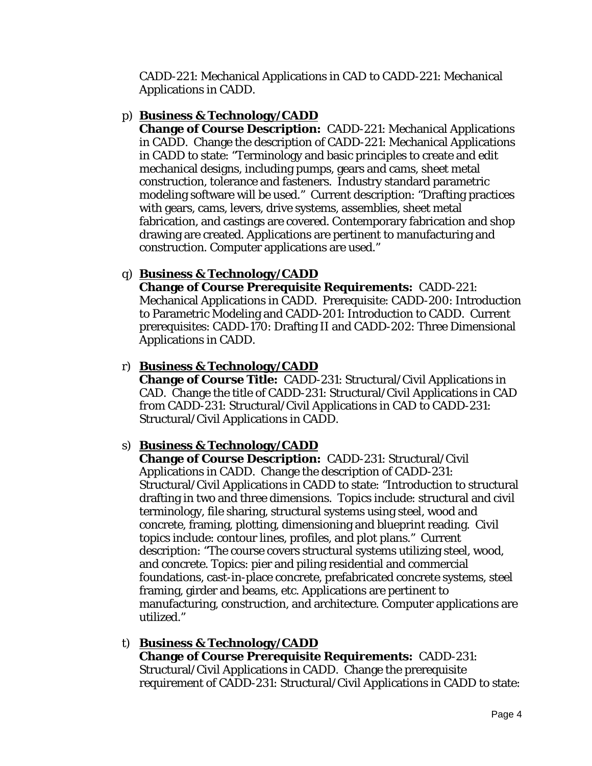CADD-221: Mechanical Applications in CAD *to* CADD-221: Mechanical Applications in CADD.

## p) **Business & Technology/CADD**

**Change of Course Description:** CADD-221: Mechanical Applications in CADD. Change the description of CADD-221: Mechanical Applications in CADD to state: "Terminology and basic principles to create and edit mechanical designs, including pumps, gears and cams, sheet metal construction, tolerance and fasteners. Industry standard parametric modeling software will be used." Current description: "Drafting practices with gears, cams, levers, drive systems, assemblies, sheet metal fabrication, and castings are covered. Contemporary fabrication and shop drawing are created. Applications are pertinent to manufacturing and construction. Computer applications are used."

## q) **Business & Technology/CADD**

**Change of Course Prerequisite Requirements:** CADD-221: Mechanical Applications in CADD. Prerequisite: CADD-200: Introduction to Parametric Modeling and CADD-201: Introduction to CADD. Current prerequisites: CADD-170: Drafting II and CADD-202: Three Dimensional Applications in CADD.

## r) **Business & Technology/CADD**

**Change of Course Title:** CADD-231: Structural/Civil Applications in CAD. Change the title of CADD-231: Structural/Civil Applications in CAD *from* CADD-231: Structural/Civil Applications in CAD *to* CADD-231: Structural/Civil Applications in CADD.

# s) **Business & Technology/CADD**

**Change of Course Description:** CADD-231: Structural/Civil Applications in CADD. Change the description of CADD-231: Structural/Civil Applications in CADD to state: "Introduction to structural drafting in two and three dimensions. Topics include: structural and civil terminology, file sharing, structural systems using steel, wood and concrete, framing, plotting, dimensioning and blueprint reading. Civil topics include: contour lines, profiles, and plot plans." Current description: "The course covers structural systems utilizing steel, wood, and concrete. Topics: pier and piling residential and commercial foundations, cast-in-place concrete, prefabricated concrete systems, steel framing, girder and beams, etc. Applications are pertinent to manufacturing, construction, and architecture. Computer applications are utilized."

## t) **Business & Technology/CADD**

**Change of Course Prerequisite Requirements:** CADD-231: Structural/Civil Applications in CADD. Change the prerequisite requirement of CADD-231: Structural/Civil Applications in CADD to state: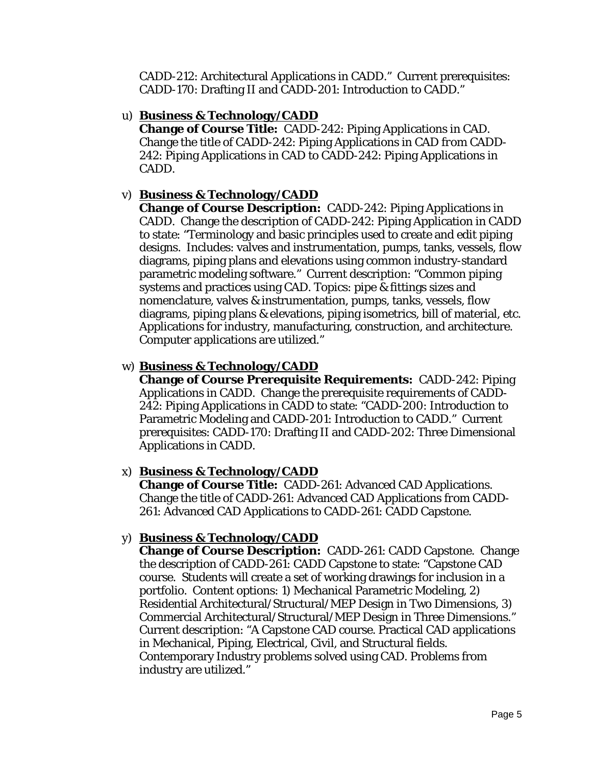CADD-212: Architectural Applications in CADD." Current prerequisites: CADD-170: Drafting II and CADD-201: Introduction to CADD."

#### u) **Business & Technology/CADD**

**Change of Course Title:** CADD-242: Piping Applications in CAD. Change the title of CADD-242: Piping Applications in CAD *from* CADD-242: Piping Applications in CAD *to* CADD-242: Piping Applications in CADD.

## v) **Business & Technology/CADD**

**Change of Course Description:** CADD-242: Piping Applications in CADD. Change the description of CADD-242: Piping Application in CADD to state: "Terminology and basic principles used to create and edit piping designs. Includes: valves and instrumentation, pumps, tanks, vessels, flow diagrams, piping plans and elevations using common industry-standard parametric modeling software." Current description: "Common piping systems and practices using CAD. Topics: pipe & fittings sizes and nomenclature, valves & instrumentation, pumps, tanks, vessels, flow diagrams, piping plans & elevations, piping isometrics, bill of material, etc. Applications for industry, manufacturing, construction, and architecture. Computer applications are utilized."

## w) **Business & Technology/CADD**

**Change of Course Prerequisite Requirements:** CADD-242: Piping Applications in CADD. Change the prerequisite requirements of CADD-242: Piping Applications in CADD to state: "CADD-200: Introduction to Parametric Modeling and CADD-201: Introduction to CADD." Current prerequisites: CADD-170: Drafting II and CADD-202: Three Dimensional Applications in CADD.

## x) **Business & Technology/CADD**

**Change of Course Title:** CADD-261: Advanced CAD Applications. Change the title of CADD-261: Advanced CAD Applications *from* CADD-261: Advanced CAD Applications *to* CADD-261: CADD Capstone.

## y) **Business & Technology/CADD**

**Change of Course Description:** CADD-261: CADD Capstone. Change the description of CADD-261: CADD Capstone to state: "Capstone CAD course. Students will create a set of working drawings for inclusion in a portfolio. Content options: 1) Mechanical Parametric Modeling, 2) Residential Architectural/Structural/MEP Design in Two Dimensions, 3) Commercial Architectural/Structural/MEP Design in Three Dimensions." Current description: "A Capstone CAD course. Practical CAD applications in Mechanical, Piping, Electrical, Civil, and Structural fields. Contemporary Industry problems solved using CAD. Problems from industry are utilized."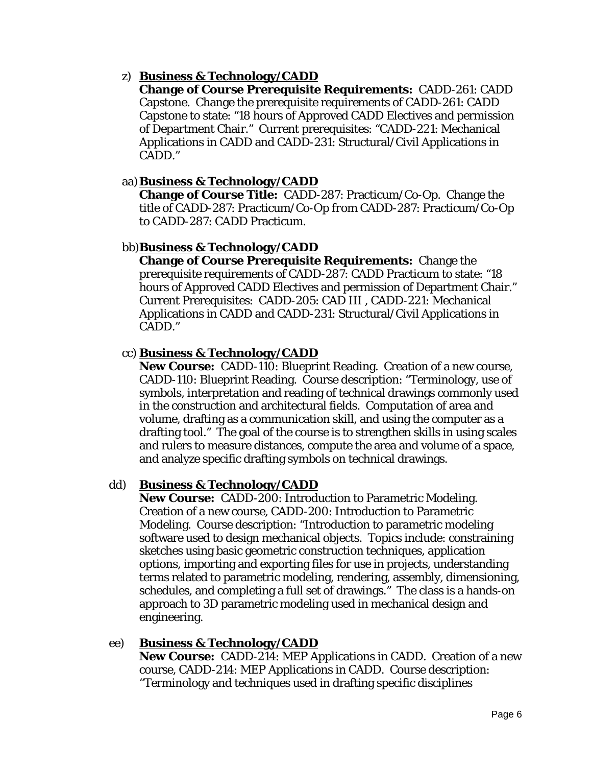## z) **Business & Technology/CADD**

**Change of Course Prerequisite Requirements:** CADD-261: CADD Capstone. Change the prerequisite requirements of CADD-261: CADD Capstone to state: "18 hours of Approved CADD Electives and permission of Department Chair." Current prerequisites: "CADD-221: Mechanical Applications in CADD and CADD-231: Structural/Civil Applications in CADD."

## aa)**Business & Technology/CADD**

**Change of Course Title:** CADD-287: Practicum/Co-Op. Change the title of CADD-287: Practicum/Co-Op *from* CADD-287: Practicum/Co-Op *to* CADD-287: CADD Practicum.

## bb)**Business & Technology/CADD**

**Change of Course Prerequisite Requirements:** Change the prerequisite requirements of CADD-287: CADD Practicum to state: "18 hours of Approved CADD Electives and permission of Department Chair." Current Prerequisites: CADD-205: CAD III , CADD-221: Mechanical Applications in CADD and CADD-231: Structural/Civil Applications in CADD."

## cc) **Business & Technology/CADD**

**New Course:** CADD-110: Blueprint Reading. Creation of a new course, CADD-110: Blueprint Reading. Course description: "Terminology, use of symbols, interpretation and reading of technical drawings commonly used in the construction and architectural fields. Computation of area and volume, drafting as a communication skill, and using the computer as a drafting tool." The goal of the course is to strengthen skills in using scales and rulers to measure distances, compute the area and volume of a space, and analyze specific drafting symbols on technical drawings.

## dd) **Business & Technology/CADD**

**New Course:** CADD-200: Introduction to Parametric Modeling. Creation of a new course, CADD-200: Introduction to Parametric Modeling. Course description: "Introduction to parametric modeling software used to design mechanical objects. Topics include: constraining sketches using basic geometric construction techniques, application options, importing and exporting files for use in projects, understanding terms related to parametric modeling, rendering, assembly, dimensioning, schedules, and completing a full set of drawings." The class is a hands-on approach to 3D parametric modeling used in mechanical design and engineering.

## ee) **Business & Technology/CADD**

**New Course:** CADD-214: MEP Applications in CADD. Creation of a new course, CADD-214: MEP Applications in CADD. Course description: "Terminology and techniques used in drafting specific disciplines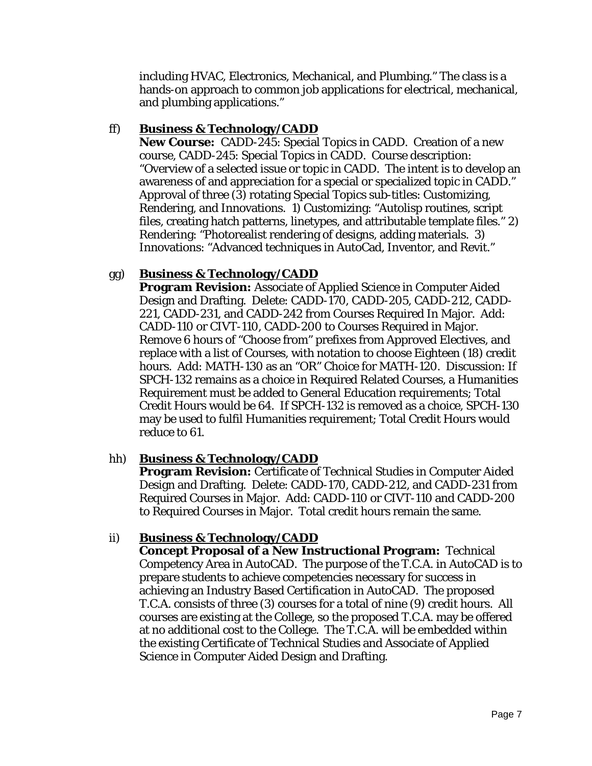including HVAC, Electronics, Mechanical, and Plumbing." The class is a hands-on approach to common job applications for electrical, mechanical, and plumbing applications."

#### ff) **Business & Technology/CADD**

**New Course:** CADD-245: Special Topics in CADD. Creation of a new course, CADD-245: Special Topics in CADD. Course description: "Overview of a selected issue or topic in CADD. The intent is to develop an awareness of and appreciation for a special or specialized topic in CADD." Approval of three (3) rotating Special Topics sub-titles: Customizing, Rendering, and Innovations. 1) Customizing: "Autolisp routines, script files, creating hatch patterns, linetypes, and attributable template files." 2) Rendering: "Photorealist rendering of designs, adding materials. 3) Innovations: "Advanced techniques in AutoCad, Inventor, and Revit."

## gg) **Business & Technology/CADD**

**Program Revision:** Associate of Applied Science in Computer Aided Design and Drafting. Delete: CADD-170, CADD-205, CADD-212, CADD-221, CADD-231, and CADD-242 from Courses Required In Major. Add: CADD-110 or CIVT-110, CADD-200 to Courses Required in Major. Remove 6 hours of "Choose from" prefixes from Approved Electives, and replace with a list of Courses, with notation to choose Eighteen (18) credit hours. Add: MATH-130 as an "OR" Choice for MATH-120. Discussion: If SPCH-132 remains as a choice in Required Related Courses, a Humanities Requirement must be added to General Education requirements; Total Credit Hours would be 64. If SPCH-132 is removed as a choice, SPCH-130 may be used to fulfil Humanities requirement; Total Credit Hours would reduce to 61.

## hh) **Business & Technology/CADD**

**Program Revision:** Certificate of Technical Studies in Computer Aided Design and Drafting. Delete: CADD-170, CADD-212, and CADD-231 from Required Courses in Major. Add: CADD-110 or CIVT-110 and CADD-200 to Required Courses in Major. Total credit hours remain the same.

## ii) **Business & Technology/CADD**

**Concept Proposal of a New Instructional Program:** Technical Competency Area in AutoCAD. The purpose of the T.C.A. in AutoCAD is to prepare students to achieve competencies necessary for success in achieving an Industry Based Certification in AutoCAD. The proposed T.C.A. consists of three (3) courses for a total of nine (9) credit hours. All courses are existing at the College, so the proposed T.C.A. may be offered at no additional cost to the College. The T.C.A. will be embedded within the existing Certificate of Technical Studies and Associate of Applied Science in Computer Aided Design and Drafting.